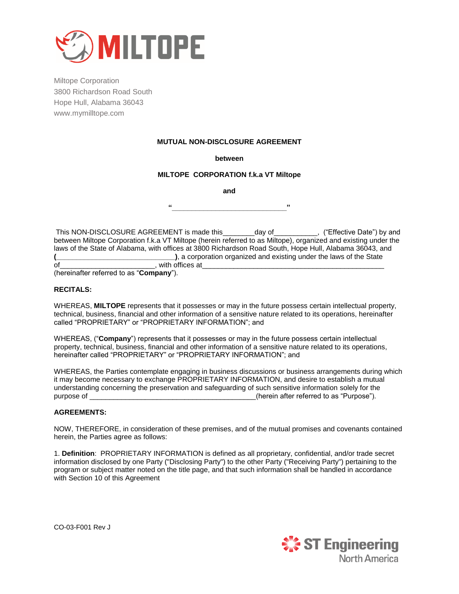

## **MUTUAL NON-DISCLOSURE AGREEMENT**

#### **between**

#### **MILTOPE CORPORATION f.k.a VT Miltope**

**and**

**"\_\_\_\_\_\_\_\_\_\_\_\_\_\_\_\_\_\_\_\_\_\_\_\_\_\_\_\_\_"**

This NON-DISCLOSURE AGREEMENT is made this \_\_\_\_\_\_\_day of \_\_\_\_\_\_\_\_\_, ("Effective Date") by and between Miltope Corporation f.k.a VT Miltope (herein referred to as Miltope), organized and existing under the laws of the State of Alabama, with offices at 3800 Richardson Road South, Hope Hull, Alabama 36043, and **(\_\_\_\_\_\_\_\_\_\_\_\_\_\_\_\_\_\_\_\_\_\_\_\_\_\_\_\_\_\_)**, a corporation organized and existing under the laws of the State of\_\_\_\_\_\_\_\_\_\_\_\_\_\_\_\_\_\_\_\_\_\_\_\_, with offices at\_\_\_\_\_\_\_\_\_\_\_\_\_\_\_\_\_\_\_\_\_\_\_\_\_\_\_\_\_\_\_\_\_\_\_\_\_\_\_\_\_\_\_\_\_\_

(hereinafter referred to as "**Company**").

### **RECITALS:**

WHEREAS, **MILTOPE** represents that it possesses or may in the future possess certain intellectual property, technical, business, financial and other information of a sensitive nature related to its operations, hereinafter called "PROPRIETARY" or "PROPRIETARY INFORMATION"; and

WHEREAS, ("**Company**") represents that it possesses or may in the future possess certain intellectual property, technical, business, financial and other information of a sensitive nature related to its operations, hereinafter called "PROPRIETARY" or "PROPRIETARY INFORMATION"; and

WHEREAS, the Parties contemplate engaging in business discussions or business arrangements during which it may become necessary to exchange PROPRIETARY INFORMATION, and desire to establish a mutual understanding concerning the preservation and safeguarding of such sensitive information solely for the purpose of  $\blacksquare$  . The contract of the contract of the eight of the contract of the contract of the contract of the contract of the contract of the contract of the contract of the contract of the contract of the contract

# **AGREEMENTS:**

NOW, THEREFORE, in consideration of these premises, and of the mutual promises and covenants contained herein, the Parties agree as follows:

1. **Definition**: PROPRIETARY INFORMATION is defined as all proprietary, confidential, and/or trade secret information disclosed by one Party ("Disclosing Party") to the other Party ("Receiving Party") pertaining to the program or subject matter noted on the title page, and that such information shall be handled in accordance with Section 10 of this Agreement

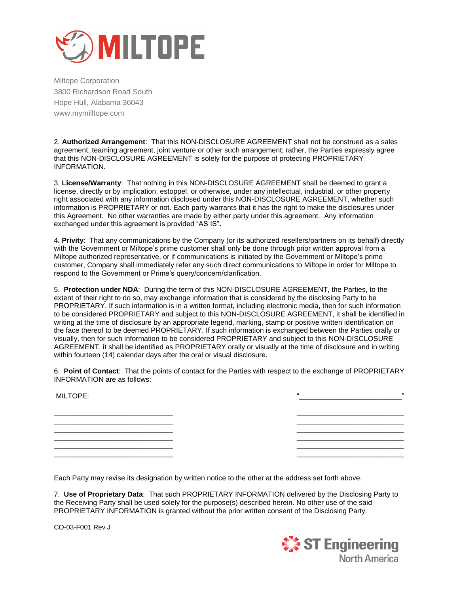

2. **Authorized Arrangement**: That this NON-DISCLOSURE AGREEMENT shall not be construed as a sales agreement, teaming agreement, joint venture or other such arrangement; rather, the Parties expressly agree that this NON-DISCLOSURE AGREEMENT is solely for the purpose of protecting PROPRIETARY INFORMATION.

3. **License/Warranty**: That nothing in this NON-DISCLOSURE AGREEMENT shall be deemed to grant a license, directly or by implication, estoppel, or otherwise, under any intellectual, industrial, or other property right associated with any information disclosed under this NON-DISCLOSURE AGREEMENT, whether such information is PROPRIETARY or not. Each party warrants that it has the right to make the disclosures under this Agreement. No other warranties are made by either party under this agreement. Any information exchanged under this agreement is provided "AS IS"**.** 

4**. Privity**:That any communications by the Company (or its authorized resellers/partners on its behalf) directly with the Government or Miltope's prime customer shall only be done through prior written approval from a Miltope authorized representative, or if communications is initiated by the Government or Miltope's prime customer, Company shall immediately refer any such direct communications to Miltope in order for Miltope to respond to the Government or Prime's query/concern/clarification.

5. **Protection under NDA**: During the term of this NON-DISCLOSURE AGREEMENT, the Parties, to the extent of their right to do so, may exchange information that is considered by the disclosing Party to be PROPRIETARY. If such information is in a written format, including electronic media, then for such information to be considered PROPRIETARY and subject to this NON-DISCLOSURE AGREEMENT, it shall be identified in writing at the time of disclosure by an appropriate legend, marking, stamp or positive written identification on the face thereof to be deemed PROPRIETARY. If such information is exchanged between the Parties orally or visually, then for such information to be considered PROPRIETARY and subject to this NON-DISCLOSURE AGREEMENT, it shall be identified as PROPRIETARY orally or visually at the time of disclosure and in writing within fourteen (14) calendar days after the oral or visual disclosure.

6. **Point of Contact**: That the points of contact for the Parties with respect to the exchange of PROPRIETARY INFORMATION are as follows:

| MILTOPE: | $^{66}$<br>,, |  |
|----------|---------------|--|
|          |               |  |
|          |               |  |
|          |               |  |
|          |               |  |
|          |               |  |

Each Party may revise its designation by written notice to the other at the address set forth above.

7. **Use of Proprietary Data**: That such PROPRIETARY INFORMATION delivered by the Disclosing Party to the Receiving Party shall be used solely for the purpose(s) described herein. No other use of the said PROPRIETARY INFORMATION is granted without the prior written consent of the Disclosing Party.

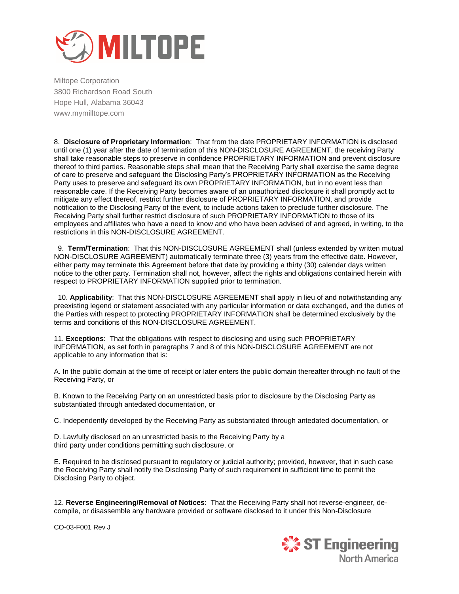

8. **Disclosure of Proprietary Information**: That from the date PROPRIETARY INFORMATION is disclosed until one (1) year after the date of termination of this NON-DISCLOSURE AGREEMENT, the receiving Party shall take reasonable steps to preserve in confidence PROPRIETARY INFORMATION and prevent disclosure thereof to third parties. Reasonable steps shall mean that the Receiving Party shall exercise the same degree of care to preserve and safeguard the Disclosing Party's PROPRIETARY INFORMATION as the Receiving Party uses to preserve and safeguard its own PROPRIETARY INFORMATION, but in no event less than reasonable care. If the Receiving Party becomes aware of an unauthorized disclosure it shall promptly act to mitigate any effect thereof, restrict further disclosure of PROPRIETARY INFORMATION, and provide notification to the Disclosing Party of the event, to include actions taken to preclude further disclosure. The Receiving Party shall further restrict disclosure of such PROPRIETARY INFORMATION to those of its employees and affiliates who have a need to know and who have been advised of and agreed, in writing, to the restrictions in this NON-DISCLOSURE AGREEMENT.

 9. **Term/Termination**: That this NON-DISCLOSURE AGREEMENT shall (unless extended by written mutual NON-DISCLOSURE AGREEMENT) automatically terminate three (3) years from the effective date. However, either party may terminate this Agreement before that date by providing a thirty (30) calendar days written notice to the other party. Termination shall not, however, affect the rights and obligations contained herein with respect to PROPRIETARY INFORMATION supplied prior to termination.

 10. **Applicability**: That this NON-DISCLOSURE AGREEMENT shall apply in lieu of and notwithstanding any preexisting legend or statement associated with any particular information or data exchanged, and the duties of the Parties with respect to protecting PROPRIETARY INFORMATION shall be determined exclusively by the terms and conditions of this NON-DISCLOSURE AGREEMENT.

11. **Exceptions**: That the obligations with respect to disclosing and using such PROPRIETARY INFORMATION, as set forth in paragraphs 7 and 8 of this NON-DISCLOSURE AGREEMENT are not applicable to any information that is:

A. In the public domain at the time of receipt or later enters the public domain thereafter through no fault of the Receiving Party, or

B. Known to the Receiving Party on an unrestricted basis prior to disclosure by the Disclosing Party as substantiated through antedated documentation, or

C. Independently developed by the Receiving Party as substantiated through antedated documentation, or

D. Lawfully disclosed on an unrestricted basis to the Receiving Party by a third party under conditions permitting such disclosure, or

E. Required to be disclosed pursuant to regulatory or judicial authority; provided, however, that in such case the Receiving Party shall notify the Disclosing Party of such requirement in sufficient time to permit the Disclosing Party to object.

12. **Reverse Engineering/Removal of Notices**: That the Receiving Party shall not reverse-engineer, decompile, or disassemble any hardware provided or software disclosed to it under this Non-Disclosure

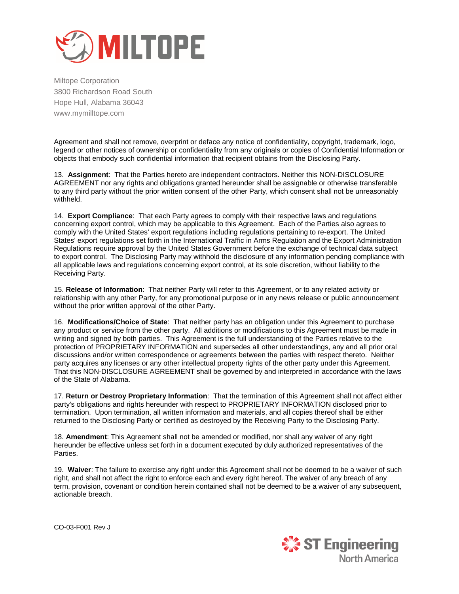

Agreement and shall not remove, overprint or deface any notice of confidentiality, copyright, trademark, logo, legend or other notices of ownership or confidentiality from any originals or copies of Confidential Information or objects that embody such confidential information that recipient obtains from the Disclosing Party.

13. **Assignment**: That the Parties hereto are independent contractors. Neither this NON-DISCLOSURE AGREEMENT nor any rights and obligations granted hereunder shall be assignable or otherwise transferable to any third party without the prior written consent of the other Party, which consent shall not be unreasonably withheld.

14. **Export Compliance**: That each Party agrees to comply with their respective laws and regulations concerning export control, which may be applicable to this Agreement. Each of the Parties also agrees to comply with the United States' export regulations including regulations pertaining to re-export. The United States' export regulations set forth in the International Traffic in Arms Regulation and the Export Administration Regulations require approval by the United States Government before the exchange of technical data subject to export control. The Disclosing Party may withhold the disclosure of any information pending compliance with all applicable laws and regulations concerning export control, at its sole discretion, without liability to the Receiving Party.

15. **Release of Information**: That neither Party will refer to this Agreement, or to any related activity or relationship with any other Party, for any promotional purpose or in any news release or public announcement without the prior written approval of the other Party.

16. **Modifications/Choice of State**: That neither party has an obligation under this Agreement to purchase any product or service from the other party. All additions or modifications to this Agreement must be made in writing and signed by both parties. This Agreement is the full understanding of the Parties relative to the protection of PROPRIETARY INFORMATION and supersedes all other understandings, any and all prior oral discussions and/or written correspondence or agreements between the parties with respect thereto. Neither party acquires any licenses or any other intellectual property rights of the other party under this Agreement. That this NON-DISCLOSURE AGREEMENT shall be governed by and interpreted in accordance with the laws of the State of Alabama.

17. **Return or Destroy Proprietary Information**: That the termination of this Agreement shall not affect either party's obligations and rights hereunder with respect to PROPRIETARY INFORMATION disclosed prior to termination. Upon termination, all written information and materials, and all copies thereof shall be either returned to the Disclosing Party or certified as destroyed by the Receiving Party to the Disclosing Party.

18. **Amendment**: This Agreement shall not be amended or modified, nor shall any waiver of any right hereunder be effective unless set forth in a document executed by duly authorized representatives of the Parties.

19. **Waiver**: The failure to exercise any right under this Agreement shall not be deemed to be a waiver of such right, and shall not affect the right to enforce each and every right hereof. The waiver of any breach of any term, provision, covenant or condition herein contained shall not be deemed to be a waiver of any subsequent, actionable breach.